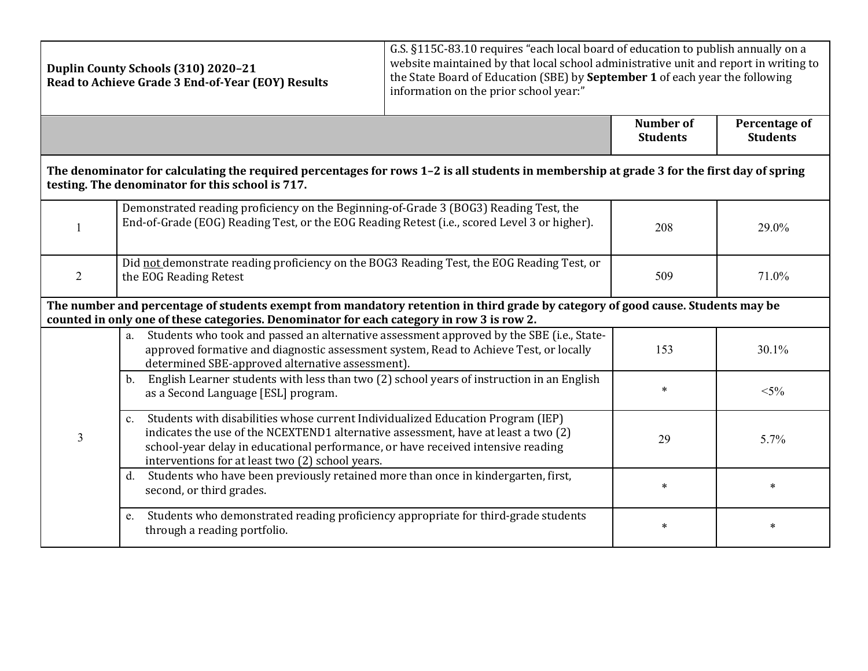| Duplin County Schools (310) 2020-21<br>Read to Achieve Grade 3 End-of-Year (EOY) Results                                                                                                                                     |                                                                                                                                                                                                                                                                                                                  | G.S. §115C-83.10 requires "each local board of education to publish annually on a<br>website maintained by that local school administrative unit and report in writing to<br>the State Board of Education (SBE) by September 1 of each year the following<br>information on the prior school year:" |                              |                                  |  |
|------------------------------------------------------------------------------------------------------------------------------------------------------------------------------------------------------------------------------|------------------------------------------------------------------------------------------------------------------------------------------------------------------------------------------------------------------------------------------------------------------------------------------------------------------|-----------------------------------------------------------------------------------------------------------------------------------------------------------------------------------------------------------------------------------------------------------------------------------------------------|------------------------------|----------------------------------|--|
|                                                                                                                                                                                                                              |                                                                                                                                                                                                                                                                                                                  |                                                                                                                                                                                                                                                                                                     | Number of<br><b>Students</b> | Percentage of<br><b>Students</b> |  |
|                                                                                                                                                                                                                              | The denominator for calculating the required percentages for rows 1-2 is all students in membership at grade 3 for the first day of spring<br>testing. The denominator for this school is 717.                                                                                                                   |                                                                                                                                                                                                                                                                                                     |                              |                                  |  |
| $\mathbf{1}$                                                                                                                                                                                                                 | Demonstrated reading proficiency on the Beginning-of-Grade 3 (BOG3) Reading Test, the<br>End-of-Grade (EOG) Reading Test, or the EOG Reading Retest (i.e., scored Level 3 or higher).                                                                                                                            |                                                                                                                                                                                                                                                                                                     | 208                          | 29.0%                            |  |
| 2                                                                                                                                                                                                                            | Did not demonstrate reading proficiency on the BOG3 Reading Test, the EOG Reading Test, or<br>the EOG Reading Retest                                                                                                                                                                                             |                                                                                                                                                                                                                                                                                                     | 509                          | 71.0%                            |  |
| The number and percentage of students exempt from mandatory retention in third grade by category of good cause. Students may be<br>counted in only one of these categories. Denominator for each category in row 3 is row 2. |                                                                                                                                                                                                                                                                                                                  |                                                                                                                                                                                                                                                                                                     |                              |                                  |  |
| $\overline{3}$                                                                                                                                                                                                               | Students who took and passed an alternative assessment approved by the SBE (i.e., State-<br>a.<br>approved formative and diagnostic assessment system, Read to Achieve Test, or locally<br>determined SBE-approved alternative assessment).                                                                      |                                                                                                                                                                                                                                                                                                     | 153                          | 30.1%                            |  |
|                                                                                                                                                                                                                              | English Learner students with less than two (2) school years of instruction in an English<br>b.<br>as a Second Language [ESL] program.                                                                                                                                                                           |                                                                                                                                                                                                                                                                                                     | $\ast$                       | $< 5\%$                          |  |
|                                                                                                                                                                                                                              | c. Students with disabilities whose current Individualized Education Program (IEP)<br>indicates the use of the NCEXTEND1 alternative assessment, have at least a two (2)<br>school-year delay in educational performance, or have received intensive reading<br>interventions for at least two (2) school years. |                                                                                                                                                                                                                                                                                                     | 29                           | 5.7%                             |  |
|                                                                                                                                                                                                                              | Students who have been previously retained more than once in kindergarten, first,<br>d.<br>second, or third grades.                                                                                                                                                                                              |                                                                                                                                                                                                                                                                                                     | $\ast$                       | $\ast$                           |  |
|                                                                                                                                                                                                                              | Students who demonstrated reading proficiency appropriate for third-grade students<br>e.<br>through a reading portfolio.                                                                                                                                                                                         |                                                                                                                                                                                                                                                                                                     | $\ast$                       | $\ast$                           |  |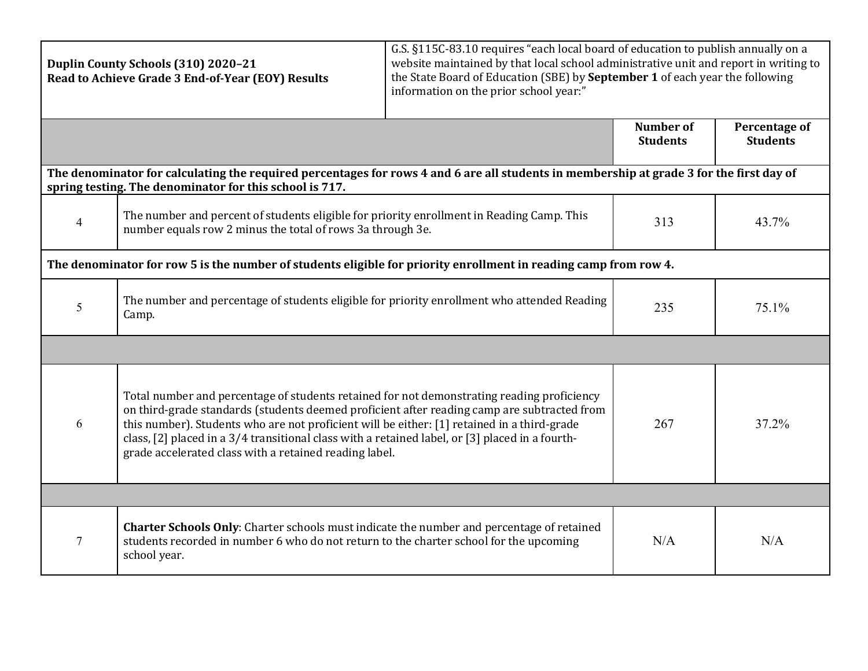| Duplin County Schools (310) 2020-21<br>Read to Achieve Grade 3 End-of-Year (EOY) Results                                                                                                            |                                                                                                                                                                                                                                                                                                                                                                                                                                                       | G.S. §115C-83.10 requires "each local board of education to publish annually on a<br>website maintained by that local school administrative unit and report in writing to<br>the State Board of Education (SBE) by September 1 of each year the following<br>information on the prior school year:" |                                     |                                  |  |  |
|-----------------------------------------------------------------------------------------------------------------------------------------------------------------------------------------------------|-------------------------------------------------------------------------------------------------------------------------------------------------------------------------------------------------------------------------------------------------------------------------------------------------------------------------------------------------------------------------------------------------------------------------------------------------------|-----------------------------------------------------------------------------------------------------------------------------------------------------------------------------------------------------------------------------------------------------------------------------------------------------|-------------------------------------|----------------------------------|--|--|
|                                                                                                                                                                                                     |                                                                                                                                                                                                                                                                                                                                                                                                                                                       |                                                                                                                                                                                                                                                                                                     | <b>Number of</b><br><b>Students</b> | Percentage of<br><b>Students</b> |  |  |
| The denominator for calculating the required percentages for rows 4 and 6 are all students in membership at grade 3 for the first day of<br>spring testing. The denominator for this school is 717. |                                                                                                                                                                                                                                                                                                                                                                                                                                                       |                                                                                                                                                                                                                                                                                                     |                                     |                                  |  |  |
| $\overline{4}$                                                                                                                                                                                      | The number and percent of students eligible for priority enrollment in Reading Camp. This<br>number equals row 2 minus the total of rows 3a through 3e.                                                                                                                                                                                                                                                                                               |                                                                                                                                                                                                                                                                                                     | 313                                 | 43.7%                            |  |  |
| The denominator for row 5 is the number of students eligible for priority enrollment in reading camp from row 4.                                                                                    |                                                                                                                                                                                                                                                                                                                                                                                                                                                       |                                                                                                                                                                                                                                                                                                     |                                     |                                  |  |  |
| 5                                                                                                                                                                                                   | The number and percentage of students eligible for priority enrollment who attended Reading<br>Camp.                                                                                                                                                                                                                                                                                                                                                  |                                                                                                                                                                                                                                                                                                     | 235                                 | 75.1%                            |  |  |
|                                                                                                                                                                                                     |                                                                                                                                                                                                                                                                                                                                                                                                                                                       |                                                                                                                                                                                                                                                                                                     |                                     |                                  |  |  |
| 6                                                                                                                                                                                                   | Total number and percentage of students retained for not demonstrating reading proficiency<br>on third-grade standards (students deemed proficient after reading camp are subtracted from<br>this number). Students who are not proficient will be either: [1] retained in a third-grade<br>class, [2] placed in a 3/4 transitional class with a retained label, or [3] placed in a fourth-<br>grade accelerated class with a retained reading label. |                                                                                                                                                                                                                                                                                                     | 267                                 | 37.2%                            |  |  |
|                                                                                                                                                                                                     |                                                                                                                                                                                                                                                                                                                                                                                                                                                       |                                                                                                                                                                                                                                                                                                     |                                     |                                  |  |  |
| $\overline{7}$                                                                                                                                                                                      | Charter Schools Only: Charter schools must indicate the number and percentage of retained<br>students recorded in number 6 who do not return to the charter school for the upcoming<br>school year.                                                                                                                                                                                                                                                   |                                                                                                                                                                                                                                                                                                     | N/A                                 | N/A                              |  |  |